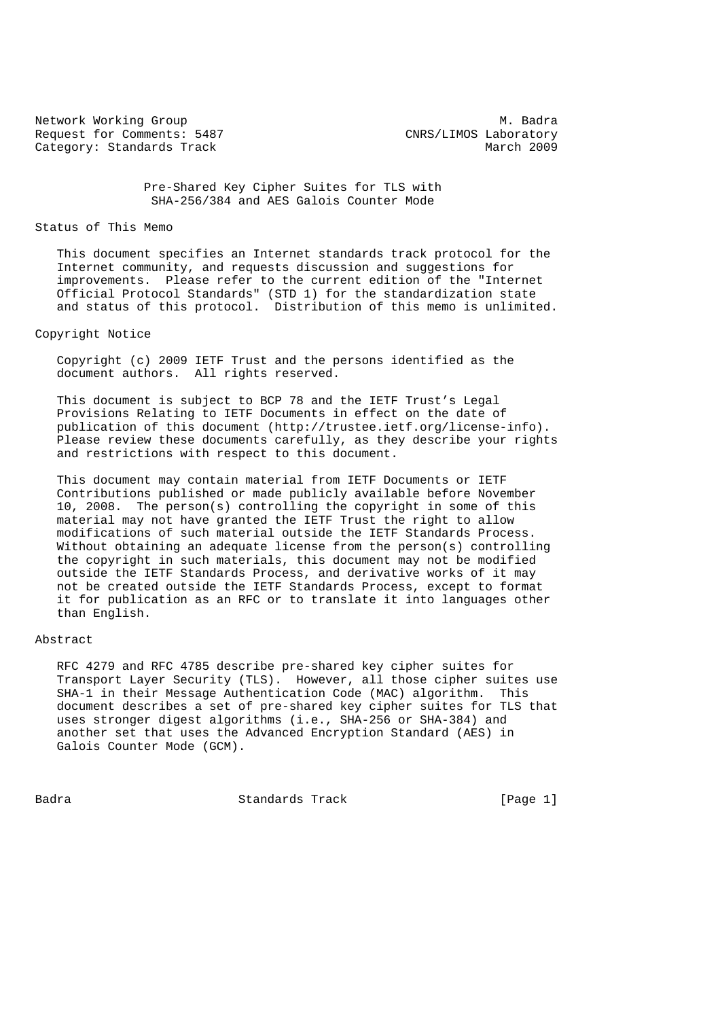Network Working Group<br>Request for Comments: 5487 (NRS/LIMOS Laboratory Request for Comments: 5487 CNRS/LIMOS Laboratory Category: Standards Track Category: Standards Track

 Pre-Shared Key Cipher Suites for TLS with SHA-256/384 and AES Galois Counter Mode

# Status of This Memo

 This document specifies an Internet standards track protocol for the Internet community, and requests discussion and suggestions for improvements. Please refer to the current edition of the "Internet Official Protocol Standards" (STD 1) for the standardization state and status of this protocol. Distribution of this memo is unlimited.

# Copyright Notice

 Copyright (c) 2009 IETF Trust and the persons identified as the document authors. All rights reserved.

 This document is subject to BCP 78 and the IETF Trust's Legal Provisions Relating to IETF Documents in effect on the date of publication of this document (http://trustee.ietf.org/license-info). Please review these documents carefully, as they describe your rights and restrictions with respect to this document.

 This document may contain material from IETF Documents or IETF Contributions published or made publicly available before November 10, 2008. The person(s) controlling the copyright in some of this material may not have granted the IETF Trust the right to allow modifications of such material outside the IETF Standards Process. Without obtaining an adequate license from the person(s) controlling the copyright in such materials, this document may not be modified outside the IETF Standards Process, and derivative works of it may not be created outside the IETF Standards Process, except to format it for publication as an RFC or to translate it into languages other than English.

## Abstract

 RFC 4279 and RFC 4785 describe pre-shared key cipher suites for Transport Layer Security (TLS). However, all those cipher suites use SHA-1 in their Message Authentication Code (MAC) algorithm. This document describes a set of pre-shared key cipher suites for TLS that uses stronger digest algorithms (i.e., SHA-256 or SHA-384) and another set that uses the Advanced Encryption Standard (AES) in Galois Counter Mode (GCM).

Badra Standards Track [Page 1]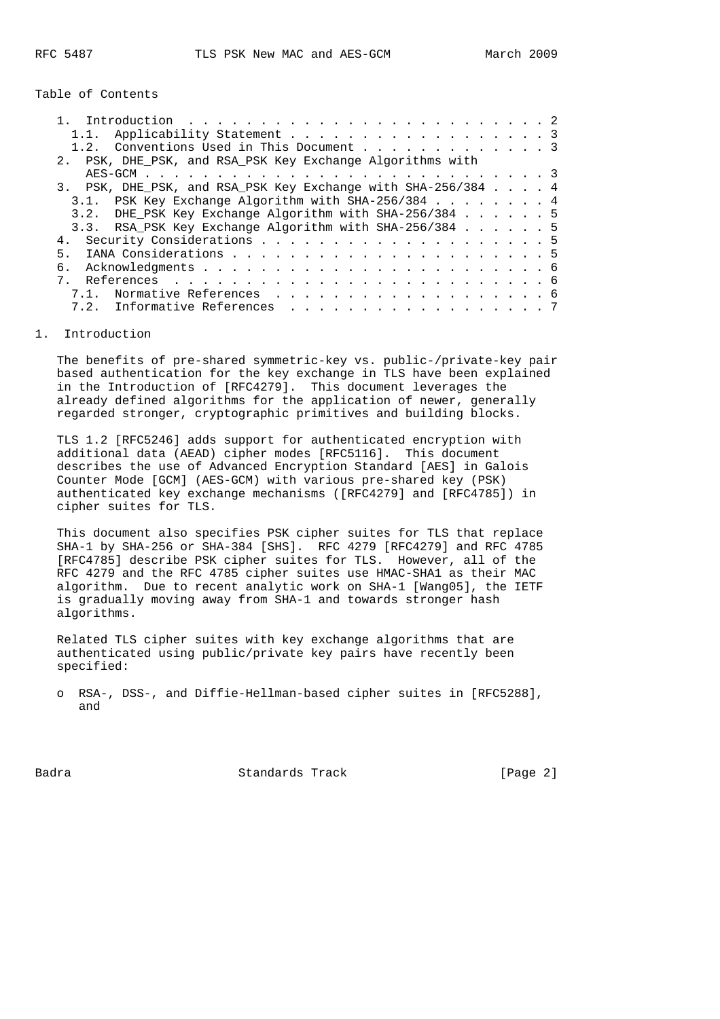Table of Contents

| 1.1. Applicability Statement 3                               |  |
|--------------------------------------------------------------|--|
| 1.2. Conventions Used in This Document 3                     |  |
| 2. PSK, DHE PSK, and RSA PSK Key Exchange Algorithms with    |  |
|                                                              |  |
| 3. PSK, DHE PSK, and RSA PSK Key Exchange with SHA-256/384 4 |  |
| 3.1. PSK Key Exchange Algorithm with SHA-256/384 4           |  |
| 3.2. DHE PSK Key Exchange Algorithm with SHA-256/384 5       |  |
| 3.3. RSA_PSK Key Exchange Algorithm with SHA-256/384 5       |  |
|                                                              |  |
| 5 <sub>1</sub>                                               |  |
| б.                                                           |  |
|                                                              |  |
| 7.1. Normative References 6                                  |  |
| 7.2. Informative References 7                                |  |
|                                                              |  |

### 1. Introduction

 The benefits of pre-shared symmetric-key vs. public-/private-key pair based authentication for the key exchange in TLS have been explained in the Introduction of [RFC4279]. This document leverages the already defined algorithms for the application of newer, generally regarded stronger, cryptographic primitives and building blocks.

 TLS 1.2 [RFC5246] adds support for authenticated encryption with additional data (AEAD) cipher modes [RFC5116]. This document describes the use of Advanced Encryption Standard [AES] in Galois Counter Mode [GCM] (AES-GCM) with various pre-shared key (PSK) authenticated key exchange mechanisms ([RFC4279] and [RFC4785]) in cipher suites for TLS.

 This document also specifies PSK cipher suites for TLS that replace SHA-1 by SHA-256 or SHA-384 [SHS]. RFC 4279 [RFC4279] and RFC 4785 [RFC4785] describe PSK cipher suites for TLS. However, all of the RFC 4279 and the RFC 4785 cipher suites use HMAC-SHA1 as their MAC algorithm. Due to recent analytic work on SHA-1 [Wang05], the IETF is gradually moving away from SHA-1 and towards stronger hash algorithms.

 Related TLS cipher suites with key exchange algorithms that are authenticated using public/private key pairs have recently been specified:

 o RSA-, DSS-, and Diffie-Hellman-based cipher suites in [RFC5288], and

Badra Standards Track [Page 2]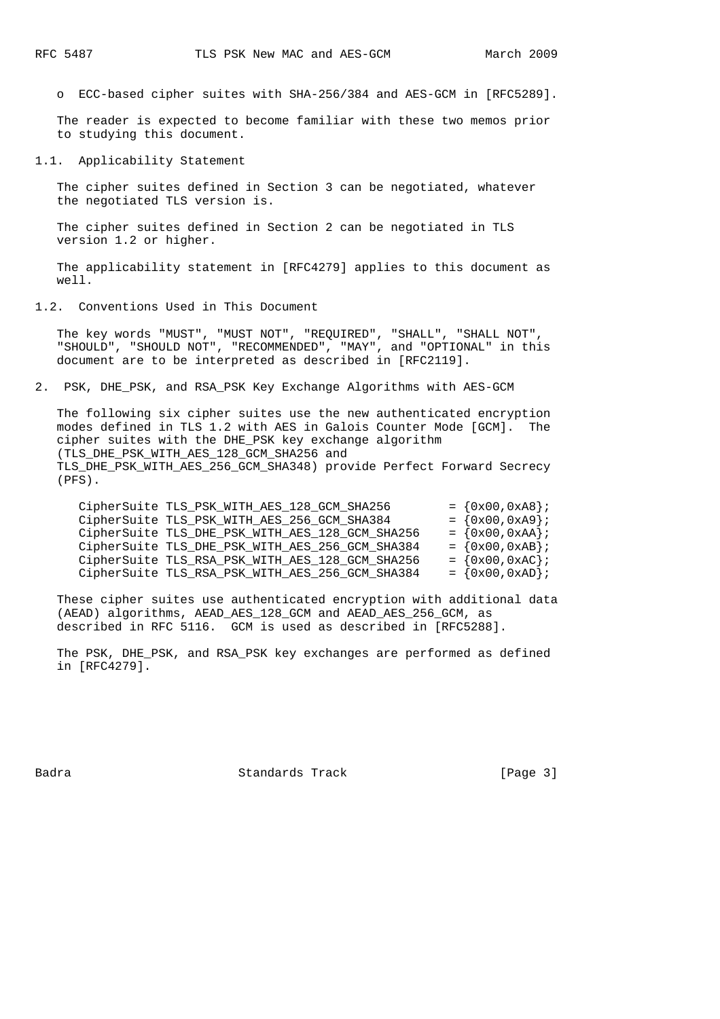o ECC-based cipher suites with SHA-256/384 and AES-GCM in [RFC5289].

 The reader is expected to become familiar with these two memos prior to studying this document.

1.1. Applicability Statement

 The cipher suites defined in Section 3 can be negotiated, whatever the negotiated TLS version is.

 The cipher suites defined in Section 2 can be negotiated in TLS version 1.2 or higher.

 The applicability statement in [RFC4279] applies to this document as well.

1.2. Conventions Used in This Document

 The key words "MUST", "MUST NOT", "REQUIRED", "SHALL", "SHALL NOT", "SHOULD", "SHOULD NOT", "RECOMMENDED", "MAY", and "OPTIONAL" in this document are to be interpreted as described in [RFC2119].

2. PSK, DHE\_PSK, and RSA\_PSK Key Exchange Algorithms with AES-GCM

 The following six cipher suites use the new authenticated encryption modes defined in TLS 1.2 with AES in Galois Counter Mode [GCM]. The cipher suites with the DHE\_PSK key exchange algorithm (TLS\_DHE\_PSK\_WITH\_AES\_128\_GCM\_SHA256 and TLS\_DHE\_PSK\_WITH\_AES\_256\_GCM\_SHA348) provide Perfect Forward Secrecy (PFS).

| CipherSuite TLS_PSK_WITH_AES_128_GCM_SHA256     | $= \{0x00, 0xA8\}$ ; |
|-------------------------------------------------|----------------------|
| CipherSuite TLS_PSK_WITH_AES_256_GCM_SHA384     | $= \{0x00, 0xA9\}$ ; |
| CipherSuite TLS_DHE_PSK_WITH_AES_128_GCM_SHA256 | $= \{0x00, 0xAA\}$ ; |
| CipherSuite TLS_DHE_PSK_WITH_AES_256_GCM_SHA384 | $= \{0x00, 0xAB\}$ ; |
| CipherSuite TLS_RSA_PSK_WITH_AES_128_GCM_SHA256 | $= \{0x00, 0xAC\}$ ; |
| CipherSuite TLS_RSA_PSK_WITH_AES_256_GCM_SHA384 | $= \{0x00, 0xAD\}$ ; |

 These cipher suites use authenticated encryption with additional data (AEAD) algorithms, AEAD\_AES\_128\_GCM and AEAD\_AES\_256\_GCM, as described in RFC 5116. GCM is used as described in [RFC5288].

 The PSK, DHE\_PSK, and RSA\_PSK key exchanges are performed as defined in [RFC4279].

Badra Standards Track [Page 3]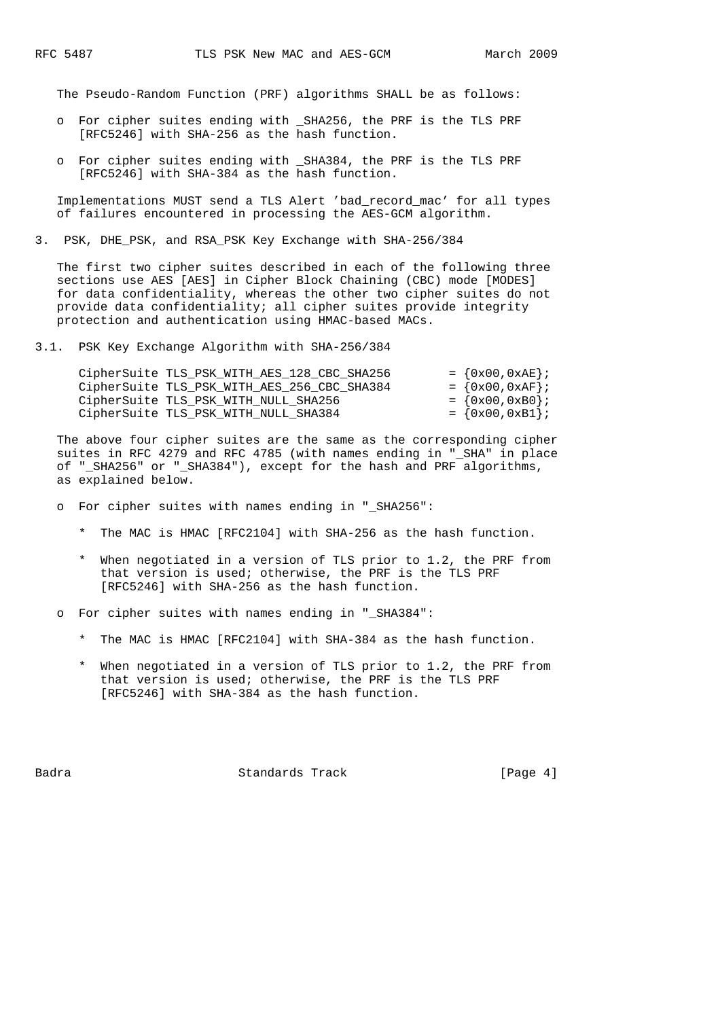The Pseudo-Random Function (PRF) algorithms SHALL be as follows:

- o For cipher suites ending with \_SHA256, the PRF is the TLS PRF [RFC5246] with SHA-256 as the hash function.
- o For cipher suites ending with \_SHA384, the PRF is the TLS PRF [RFC5246] with SHA-384 as the hash function.

 Implementations MUST send a TLS Alert 'bad\_record\_mac' for all types of failures encountered in processing the AES-GCM algorithm.

3. PSK, DHE\_PSK, and RSA\_PSK Key Exchange with SHA-256/384

 The first two cipher suites described in each of the following three sections use AES [AES] in Cipher Block Chaining (CBC) mode [MODES] for data confidentiality, whereas the other two cipher suites do not provide data confidentiality; all cipher suites provide integrity protection and authentication using HMAC-based MACs.

3.1. PSK Key Exchange Algorithm with SHA-256/384

| CipherSuite TLS PSK WITH AES 128 CBC SHA256 | $= \{0x00, 0xAE\};$  |
|---------------------------------------------|----------------------|
| CipherSuite TLS_PSK_WITH_AES_256_CBC_SHA384 | $= \{0x00, 0xAF\};$  |
| CipherSuite TLS_PSK_WITH_NULL_SHA256        | $= \{0x00, 0xB0\}$ ; |
| CipherSuite TLS PSK WITH NULL SHA384        | $= \{0x00, 0xB1\};$  |

 The above four cipher suites are the same as the corresponding cipher suites in RFC 4279 and RFC 4785 (with names ending in "\_SHA" in place of "\_SHA256" or "\_SHA384"), except for the hash and PRF algorithms, as explained below.

- o For cipher suites with names ending in "\_SHA256":
	- \* The MAC is HMAC [RFC2104] with SHA-256 as the hash function.
	- \* When negotiated in a version of TLS prior to 1.2, the PRF from that version is used; otherwise, the PRF is the TLS PRF [RFC5246] with SHA-256 as the hash function.
- o For cipher suites with names ending in "\_SHA384":
	- \* The MAC is HMAC [RFC2104] with SHA-384 as the hash function.
	- \* When negotiated in a version of TLS prior to 1.2, the PRF from that version is used; otherwise, the PRF is the TLS PRF [RFC5246] with SHA-384 as the hash function.

Badra Standards Track [Page 4]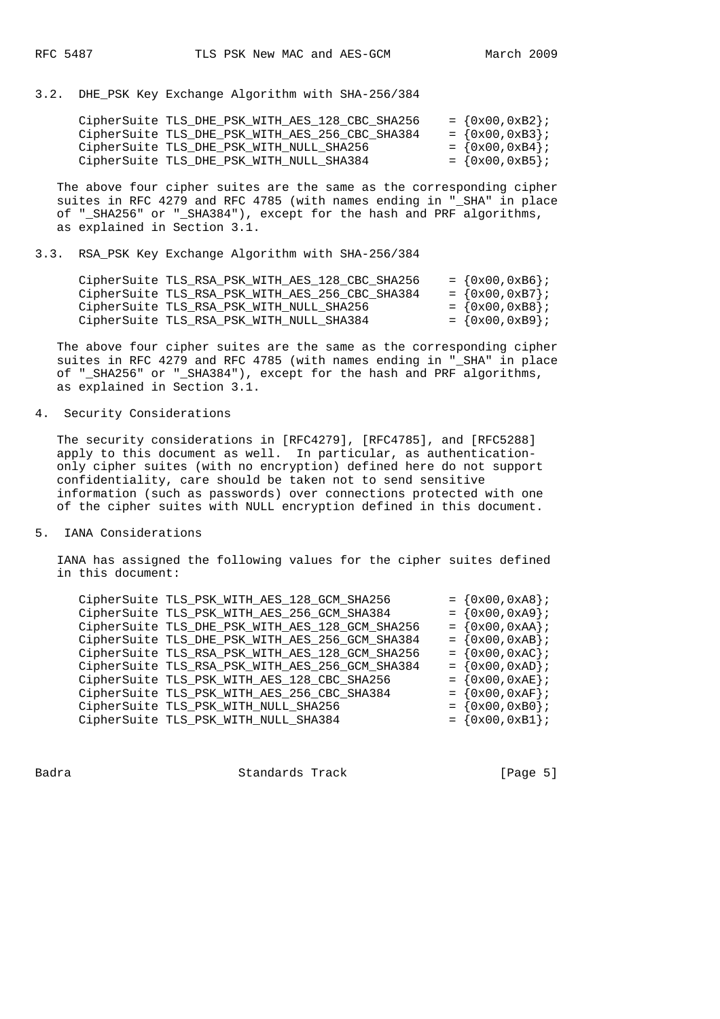3.2. DHE\_PSK Key Exchange Algorithm with SHA-256/384

| CipherSuite TLS DHE PSK WITH AES 128 CBC SHA256 | $= \{0x00, 0xB2\};$  |
|-------------------------------------------------|----------------------|
| CipherSuite TLS DHE PSK WITH AES 256 CBC SHA384 | $= \{0x00, 0xB3\};$  |
| CipherSuite TLS DHE PSK WITH NULL SHA256        | $= \{0x00, 0xB4\};$  |
| CipherSuite TLS DHE PSK WITH NULL SHA384        | $= \{0x00, 0xB5\}$ ; |

 The above four cipher suites are the same as the corresponding cipher suites in RFC 4279 and RFC 4785 (with names ending in " SHA" in place of "\_SHA256" or "\_SHA384"), except for the hash and PRF algorithms, as explained in Section 3.1.

3.3. RSA\_PSK Key Exchange Algorithm with SHA-256/384

| CipherSuite TLS RSA PSK WITH AES 128 CBC SHA256 |  | $= \{0x00, 0xB6\}$ ; |
|-------------------------------------------------|--|----------------------|
| CipherSuite TLS_RSA_PSK_WITH_AES_256_CBC_SHA384 |  | $= \{0x00, 0xB7\}$ ; |
| CipherSuite TLS_RSA_PSK_WITH_NULL_SHA256        |  | $= \{0x00, 0xB8\}$   |
| CipherSuite TLS RSA PSK WITH NULL SHA384        |  | $= \{0x00, 0xB9\}$ ; |

 The above four cipher suites are the same as the corresponding cipher suites in RFC 4279 and RFC 4785 (with names ending in "\_SHA" in place of "\_SHA256" or "\_SHA384"), except for the hash and PRF algorithms, as explained in Section 3.1.

# 4. Security Considerations

 The security considerations in [RFC4279], [RFC4785], and [RFC5288] apply to this document as well. In particular, as authentication only cipher suites (with no encryption) defined here do not support confidentiality, care should be taken not to send sensitive information (such as passwords) over connections protected with one of the cipher suites with NULL encryption defined in this document.

## 5. IANA Considerations

 IANA has assigned the following values for the cipher suites defined in this document:

| CipherSuite TLS_PSK_WITH_AES_128_GCM_SHA256     |  |  | $= \{0x00, 0xA8\}$ ; |  |
|-------------------------------------------------|--|--|----------------------|--|
| CipherSuite TLS_PSK_WITH_AES_256_GCM_SHA384     |  |  | $= \{0x00, 0xA9\};$  |  |
| CipherSuite TLS_DHE_PSK_WITH_AES_128_GCM_SHA256 |  |  | $= \{0x00, 0xAA\};$  |  |
| CipherSuite TLS_DHE_PSK_WITH_AES_256_GCM_SHA384 |  |  | $= \{0x00, 0xAB\};$  |  |
| CipherSuite TLS_RSA_PSK_WITH_AES_128_GCM_SHA256 |  |  | $= \{0x00, 0xAC\}$   |  |
| CipherSuite TLS_RSA_PSK_WITH_AES_256_GCM_SHA384 |  |  | $= \{0x00, 0xAD\}$ ; |  |
| CipherSuite TLS_PSK_WITH_AES_128_CBC_SHA256     |  |  | $= \{0x00, 0xAE\}$   |  |
| CipherSuite TLS_PSK_WITH_AES_256_CBC_SHA384     |  |  | $= \{0x00, 0xAF\}$   |  |
| CipherSuite TLS_PSK_WITH_NULL_SHA256            |  |  | $= \{0x00, 0xB0\}$   |  |
| CipherSuite TLS_PSK_WITH_NULL_SHA384            |  |  | $= \{0x00, 0xB1\};$  |  |
|                                                 |  |  |                      |  |

Badra Standards Track [Page 5]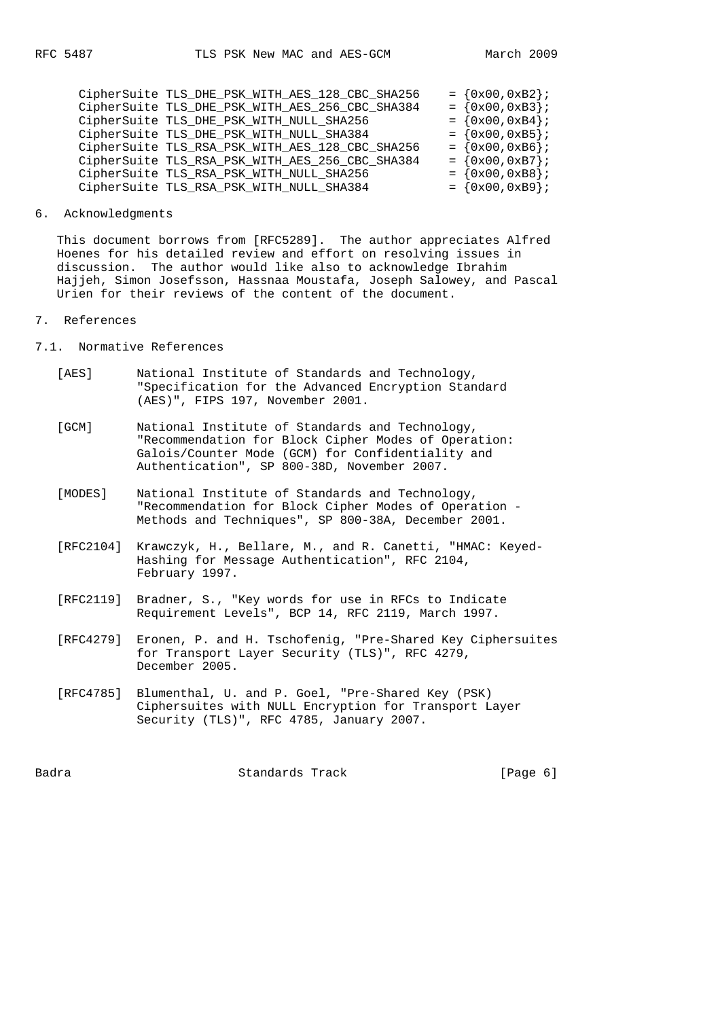| CipherSuite TLS_DHE_PSK_WITH_AES_128_CBC_SHA256 | $= \{0x00, 0xB2\}$ ; |
|-------------------------------------------------|----------------------|
| CipherSuite TLS_DHE_PSK_WITH_AES_256_CBC_SHA384 | $= \{0x00, 0xB3\}$   |
| CipherSuite TLS_DHE_PSK_WITH_NULL_SHA256        | $= \{0x00, 0xB4\};$  |
| CipherSuite TLS_DHE_PSK_WITH_NULL_SHA384        | $= \{0x00, 0xB5\};$  |
| CipherSuite TLS_RSA_PSK_WITH_AES_128_CBC_SHA256 | $= \{0x00, 0xB6\}$ ; |
| CipherSuite TLS_RSA_PSK_WITH_AES_256_CBC_SHA384 | $= \{0x00, 0xB7\}$ ; |
| CipherSuite TLS_RSA_PSK_WITH_NULL_SHA256        | $= \{0x00, 0xB8\}$   |
| CipherSuite TLS_RSA_PSK_WITH_NULL_SHA384        | $= \{0x00, 0xB9\};$  |

# 6. Acknowledgments

 This document borrows from [RFC5289]. The author appreciates Alfred Hoenes for his detailed review and effort on resolving issues in discussion. The author would like also to acknowledge Ibrahim Hajjeh, Simon Josefsson, Hassnaa Moustafa, Joseph Salowey, and Pascal Urien for their reviews of the content of the document.

#### 7. References

7.1. Normative References

- [AES] National Institute of Standards and Technology, "Specification for the Advanced Encryption Standard (AES)", FIPS 197, November 2001.
- [GCM] National Institute of Standards and Technology, "Recommendation for Block Cipher Modes of Operation: Galois/Counter Mode (GCM) for Confidentiality and Authentication", SP 800-38D, November 2007.
- [MODES] National Institute of Standards and Technology, "Recommendation for Block Cipher Modes of Operation - Methods and Techniques", SP 800-38A, December 2001.
- [RFC2104] Krawczyk, H., Bellare, M., and R. Canetti, "HMAC: Keyed- Hashing for Message Authentication", RFC 2104, February 1997.
- [RFC2119] Bradner, S., "Key words for use in RFCs to Indicate Requirement Levels", BCP 14, RFC 2119, March 1997.
- [RFC4279] Eronen, P. and H. Tschofenig, "Pre-Shared Key Ciphersuites for Transport Layer Security (TLS)", RFC 4279, December 2005.
- [RFC4785] Blumenthal, U. and P. Goel, "Pre-Shared Key (PSK) Ciphersuites with NULL Encryption for Transport Layer Security (TLS)", RFC 4785, January 2007.

Badra Standards Track [Page 6]